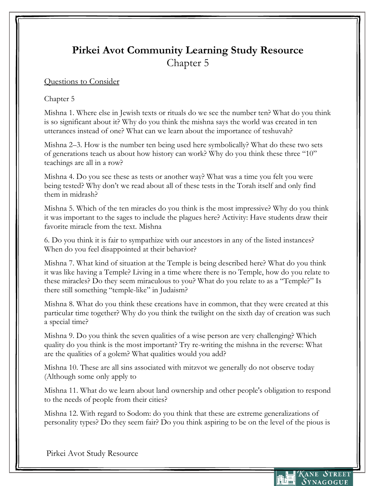## **Pirkei Avot Community Learning Study Resource** Chapter 5

## Questions to Consider

## Chapter 5

Mishna 1. Where else in Jewish texts or rituals do we see the number ten? What do you think is so significant about it? Why do you think the mishna says the world was created in ten utterances instead of one? What can we learn about the importance of teshuvah?

Mishna 2–3. How is the number ten being used here symbolically? What do these two sets of generations teach us about how history can work? Why do you think these three "10" teachings are all in a row?

Mishna 4. Do you see these as tests or another way? What was a time you felt you were being tested? Why don't we read about all of these tests in the Torah itself and only find them in midrash?

Mishna 5. Which of the ten miracles do you think is the most impressive? Why do you think it was important to the sages to include the plagues here? Activity: Have students draw their favorite miracle from the text. Mishna

6. Do you think it is fair to sympathize with our ancestors in any of the listed instances? When do you feel disappointed at their behavior?

Mishna 7. What kind of situation at the Temple is being described here? What do you think it was like having a Temple? Living in a time where there is no Temple, how do you relate to these miracles? Do they seem miraculous to you? What do you relate to as a "Temple?" Is there still something "temple-like" in Judaism?

Mishna 8. What do you think these creations have in common, that they were created at this particular time together? Why do you think the twilight on the sixth day of creation was such a special time?

Mishna 9. Do you think the seven qualities of a wise person are very challenging? Which quality do you think is the most important? Try re-writing the mishna in the reverse: What are the qualities of a golem? What qualities would you add?

Mishna 10. These are all sins associated with mitzvot we generally do not observe today (Although some only apply to

Mishna 11. What do we learn about land ownership and other people's obligation to respond to the needs of people from their cities?

Mishna 12. With regard to Sodom: do you think that these are extreme generalizations of personality types? Do they seem fair? Do you think aspiring to be on the level of the pious is

Pirkei Avot Study Resource